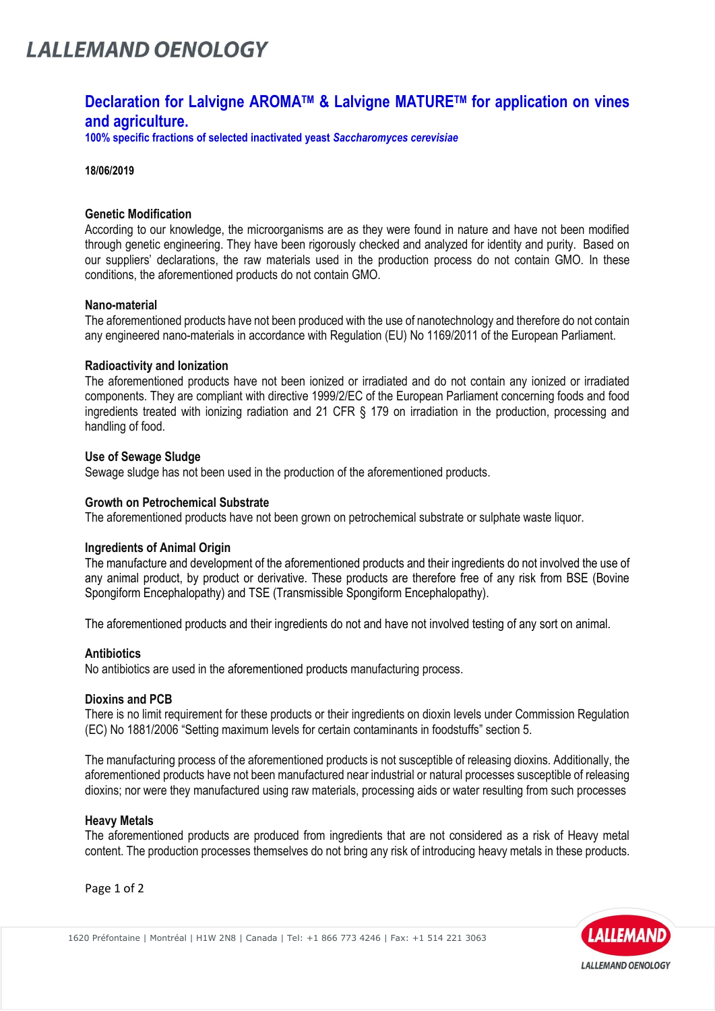# **LALLEMAND OENOLOGY**

# **Declaration for Lalvigne AROMATM & Lalvigne MATURETM for application on vines and agriculture.**

**100% specific fractions of selected inactivated yeast** *Saccharomyces cerevisiae*

**18/06/2019**

# **Genetic Modification**

According to our knowledge, the microorganisms are as they were found in nature and have not been modified through genetic engineering. They have been rigorously checked and analyzed for identity and purity. Based on our suppliers' declarations, the raw materials used in the production process do not contain GMO. In these conditions, the aforementioned products do not contain GMO.

## **Nano-material**

The aforementioned products have not been produced with the use of nanotechnology and therefore do not contain any engineered nano-materials in accordance with Regulation (EU) No 1169/2011 of the European Parliament.

## **Radioactivity and Ionization**

The aforementioned products have not been ionized or irradiated and do not contain any ionized or irradiated components. They are compliant with directive 1999/2/EC of the European Parliament concerning foods and food ingredients treated with ionizing radiation and 21 CFR § 179 on irradiation in the production, processing and handling of food.

## **Use of Sewage Sludge**

Sewage sludge has not been used in the production of the aforementioned products.

# **Growth on Petrochemical Substrate**

The aforementioned products have not been grown on petrochemical substrate or sulphate waste liquor.

#### **Ingredients of Animal Origin**

The manufacture and development of the aforementioned products and their ingredients do not involved the use of any animal product, by product or derivative. These products are therefore free of any risk from BSE (Bovine Spongiform Encephalopathy) and TSE (Transmissible Spongiform Encephalopathy).

The aforementioned products and their ingredients do not and have not involved testing of any sort on animal.

# **Antibiotics**

No antibiotics are used in the aforementioned products manufacturing process.

# **Dioxins and PCB**

There is no limit requirement for these products or their ingredients on dioxin levels under Commission Regulation (EC) No 1881/2006 "Setting maximum levels for certain contaminants in foodstuffs" section 5.

The manufacturing process of the aforementioned products is not susceptible of releasing dioxins. Additionally, the aforementioned products have not been manufactured near industrial or natural processes susceptible of releasing dioxins; nor were they manufactured using raw materials, processing aids or water resulting from such processes

# **Heavy Metals**

The aforementioned products are produced from ingredients that are not considered as a risk of Heavy metal content. The production processes themselves do not bring any risk of introducing heavy metals in these products.

Page 1 of 2